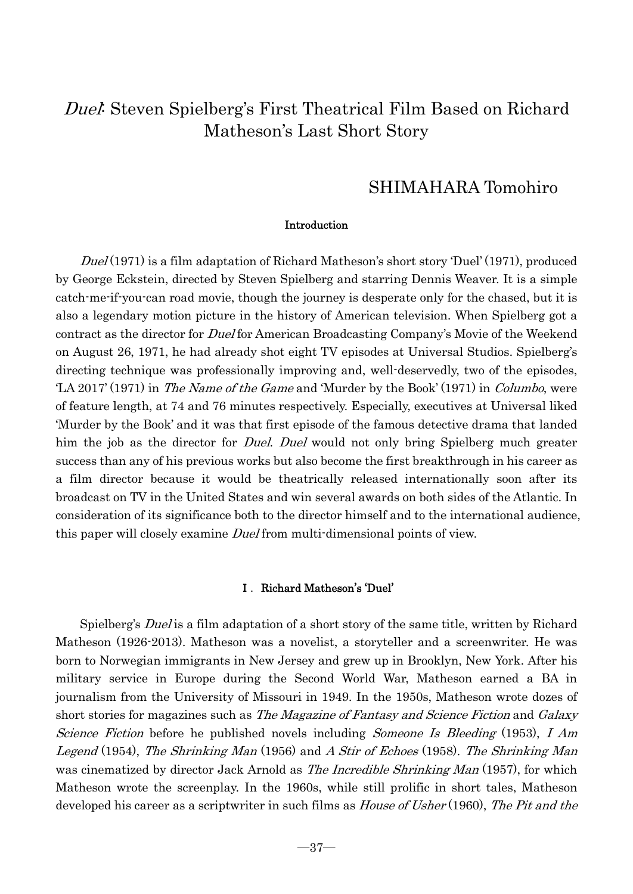# SHIMAHARA Tomohiro

# Introduction

Duel (1971) is a film adaptation of Richard Matheson's short story 'Duel' (1971), produced by George Eckstein, directed by Steven Spielberg and starring Dennis Weaver. It is a simple catch-me-if-you-can road movie, though the journey is desperate only for the chased, but it is also a legendary motion picture in the history of American television. When Spielberg got a contract as the director for *Duel* for American Broadcasting Company's Movie of the Weekend on August 26, 1971, he had already shot eight TV episodes at Universal Studios. Spielberg's directing technique was professionally improving and, well-deservedly, two of the episodes, LA 2017' (1971) in *The Name of the Game* and 'Murder by the Book' (1971) in *Columbo*, were of feature length, at 74 and 76 minutes respectively. Especially, executives at Universal liked 'Murder by the Book' and it was that first episode of the famous detective drama that landed him the job as the director for *Duel. Duel* would not only bring Spielberg much greater success than any of his previous works but also become the first breakthrough in his career as a film director because it would be theatrically released internationally soon after its broadcast on TV in the United States and win several awards on both sides of the Atlantic. In consideration of its significance both to the director himself and to the international audience, this paper will closely examine *Duel* from multi-dimensional points of view.

# Ⅰ.Richard Matheson's 'Duel'

Spielberg's *Duel* is a film adaptation of a short story of the same title, written by Richard Matheson (1926-2013). Matheson was a novelist, a storyteller and a screenwriter. He was born to Norwegian immigrants in New Jersey and grew up in Brooklyn, New York. After his military service in Europe during the Second World War, Matheson earned a BA in journalism from the University of Missouri in 1949. In the 1950s, Matheson wrote dozes of short stories for magazines such as *The Magazine of Fantasy and Science Fiction* and *Galaxy* Science Fiction before he published novels including Someone Is Bleeding (1953), I Am Legend (1954), The Shrinking Man (1956) and A Stir of Echoes (1958). The Shrinking Man was cinematized by director Jack Arnold as *The Incredible Shrinking Man* (1957), for which Matheson wrote the screenplay. In the 1960s, while still prolific in short tales, Matheson developed his career as a scriptwriter in such films as *House of Usher* (1960), *The Pit and the*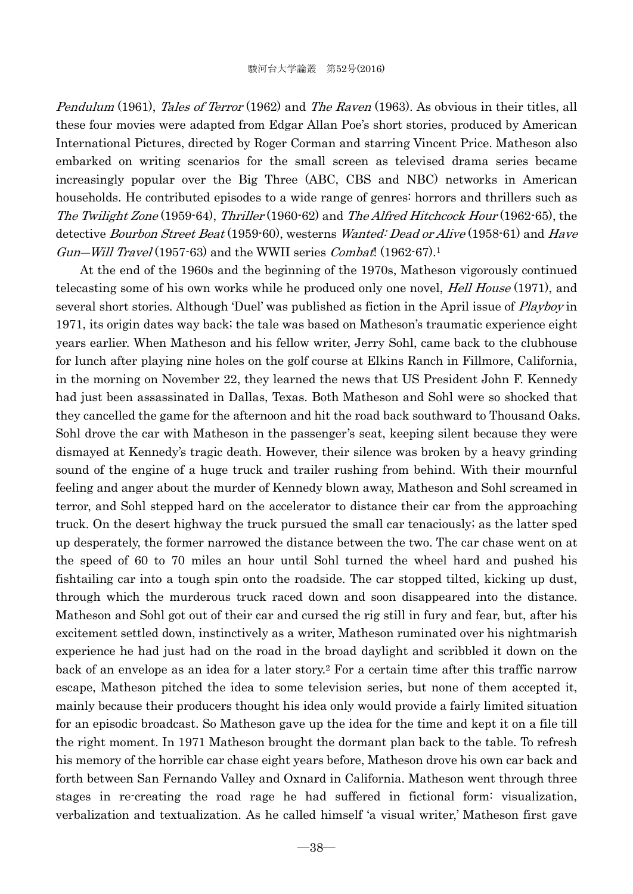Pendulum (1961), Tales of Terror (1962) and The Raven (1963). As obvious in their titles, all these four movies were adapted from Edgar Allan Poe's short stories, produced by American International Pictures, directed by Roger Corman and starring Vincent Price. Matheson also embarked on writing scenarios for the small screen as televised drama series became increasingly popular over the Big Three (ABC, CBS and NBC) networks in American households. He contributed episodes to a wide range of genres: horrors and thrillers such as The Twilight Zone (1959-64), Thriller (1960-62) and The Alfred Hitchcock Hour (1962-65), the detective Bourbon Street Beat (1959-60), westerns Wanted: Dead or Alive (1958-61) and Have  $Gun-Will \; Travel (1957-63)$  and the WWII series  $Combat$ . (1962-67).<sup>1</sup>

At the end of the 1960s and the beginning of the 1970s, Matheson vigorously continued telecasting some of his own works while he produced only one novel, *Hell House* (1971), and several short stories. Although 'Duel' was published as fiction in the April issue of *Playboy* in 1971, its origin dates way back; the tale was based on Matheson's traumatic experience eight years earlier. When Matheson and his fellow writer, Jerry Sohl, came back to the clubhouse for lunch after playing nine holes on the golf course at Elkins Ranch in Fillmore, California, in the morning on November 22, they learned the news that US President John F. Kennedy had just been assassinated in Dallas, Texas. Both Matheson and Sohl were so shocked that they cancelled the game for the afternoon and hit the road back southward to Thousand Oaks. Sohl drove the car with Matheson in the passenger's seat, keeping silent because they were dismayed at Kennedy's tragic death. However, their silence was broken by a heavy grinding sound of the engine of a huge truck and trailer rushing from behind. With their mournful feeling and anger about the murder of Kennedy blown away, Matheson and Sohl screamed in terror, and Sohl stepped hard on the accelerator to distance their car from the approaching truck. On the desert highway the truck pursued the small car tenaciously; as the latter sped up desperately, the former narrowed the distance between the two. The car chase went on at the speed of 60 to 70 miles an hour until Sohl turned the wheel hard and pushed his fishtailing car into a tough spin onto the roadside. The car stopped tilted, kicking up dust, through which the murderous truck raced down and soon disappeared into the distance. Matheson and Sohl got out of their car and cursed the rig still in fury and fear, but, after his excitement settled down, instinctively as a writer, Matheson ruminated over his nightmarish experience he had just had on the road in the broad daylight and scribbled it down on the back of an envelope as an idea for a later story.2 For a certain time after this traffic narrow escape, Matheson pitched the idea to some television series, but none of them accepted it, mainly because their producers thought his idea only would provide a fairly limited situation for an episodic broadcast. So Matheson gave up the idea for the time and kept it on a file till the right moment. In 1971 Matheson brought the dormant plan back to the table. To refresh his memory of the horrible car chase eight years before, Matheson drove his own car back and forth between San Fernando Valley and Oxnard in California. Matheson went through three stages in re-creating the road rage he had suffered in fictional form: visualization, verbalization and textualization. As he called himself 'a visual writer,' Matheson first gave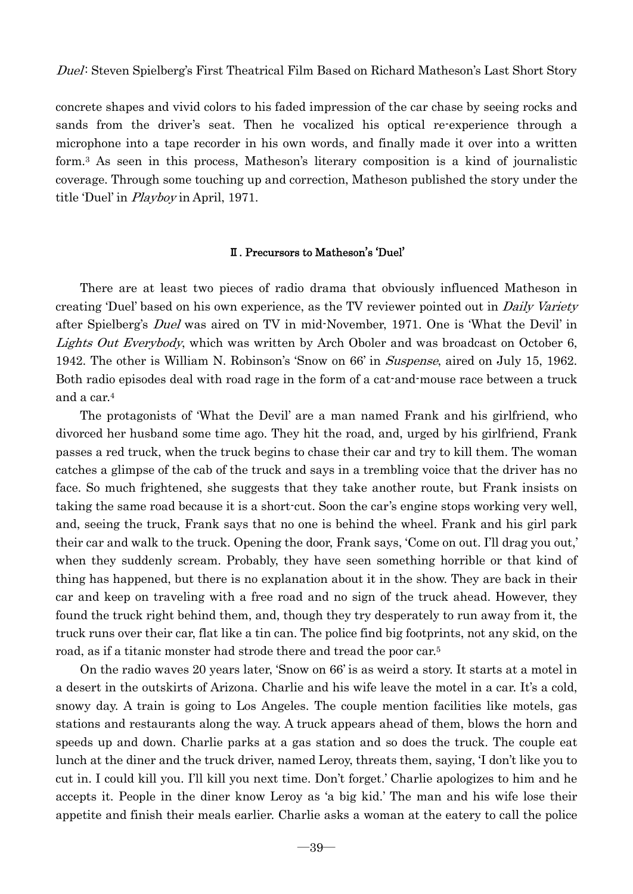concrete shapes and vivid colors to his faded impression of the car chase by seeing rocks and sands from the driver's seat. Then he vocalized his optical re-experience through a microphone into a tape recorder in his own words, and finally made it over into a written form.3 As seen in this process, Matheson's literary composition is a kind of journalistic coverage. Through some touching up and correction, Matheson published the story under the title 'Duel' in Playboy in April, 1971.

# Ⅱ. Precursors to Matheson's 'Duel'

There are at least two pieces of radio drama that obviously influenced Matheson in creating 'Duel' based on his own experience, as the TV reviewer pointed out in *Daily Variety* after Spielberg's Duel was aired on TV in mid-November, 1971. One is 'What the Devil' in Lights Out Everybody, which was written by Arch Oboler and was broadcast on October 6, 1942. The other is William N. Robinson's 'Snow on 66' in *Suspense*, aired on July 15, 1962. Both radio episodes deal with road rage in the form of a cat-and-mouse race between a truck and a car.4

 The protagonists of 'What the Devil' are a man named Frank and his girlfriend, who divorced her husband some time ago. They hit the road, and, urged by his girlfriend, Frank passes a red truck, when the truck begins to chase their car and try to kill them. The woman catches a glimpse of the cab of the truck and says in a trembling voice that the driver has no face. So much frightened, she suggests that they take another route, but Frank insists on taking the same road because it is a short-cut. Soon the car's engine stops working very well, and, seeing the truck, Frank says that no one is behind the wheel. Frank and his girl park their car and walk to the truck. Opening the door, Frank says, 'Come on out. I'll drag you out,' when they suddenly scream. Probably, they have seen something horrible or that kind of thing has happened, but there is no explanation about it in the show. They are back in their car and keep on traveling with a free road and no sign of the truck ahead. However, they found the truck right behind them, and, though they try desperately to run away from it, the truck runs over their car, flat like a tin can. The police find big footprints, not any skid, on the road, as if a titanic monster had strode there and tread the poor car.5

 On the radio waves 20 years later, 'Snow on 66' is as weird a story. It starts at a motel in a desert in the outskirts of Arizona. Charlie and his wife leave the motel in a car. It's a cold, snowy day. A train is going to Los Angeles. The couple mention facilities like motels, gas stations and restaurants along the way. A truck appears ahead of them, blows the horn and speeds up and down. Charlie parks at a gas station and so does the truck. The couple eat lunch at the diner and the truck driver, named Leroy, threats them, saying, 'I don't like you to cut in. I could kill you. I'll kill you next time. Don't forget.' Charlie apologizes to him and he accepts it. People in the diner know Leroy as 'a big kid.' The man and his wife lose their appetite and finish their meals earlier. Charlie asks a woman at the eatery to call the police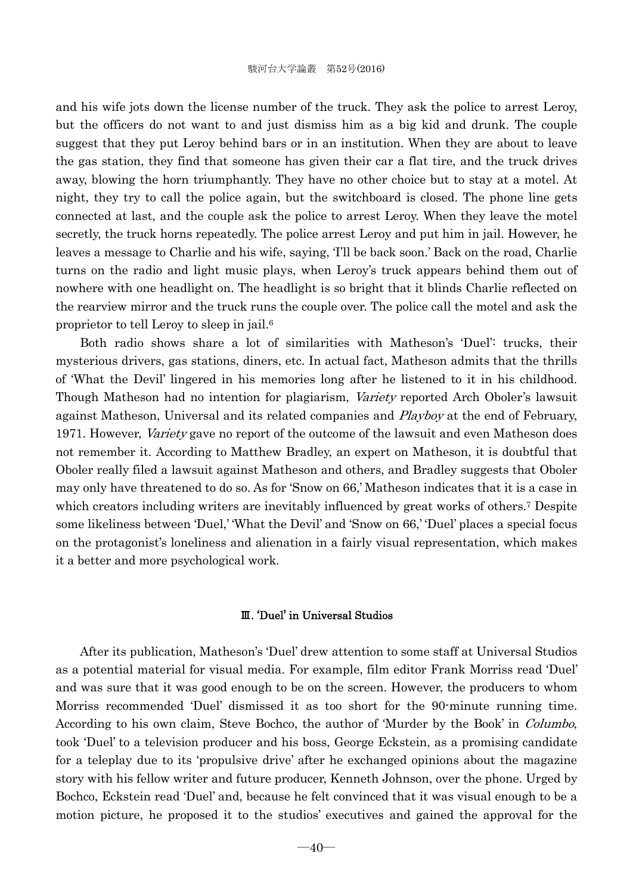and his wife jots down the license number of the truck. They ask the police to arrest Leroy, but the officers do not want to and just dismiss him as a big kid and drunk. The couple suggest that they put Leroy behind bars or in an institution. When they are about to leave the gas station, they find that someone has given their car a flat tire, and the truck drives away, blowing the horn triumphantly. They have no other choice but to stay at a motel. At night, they try to call the police again, but the switchboard is closed. The phone line gets connected at last, and the couple ask the police to arrest Leroy. When they leave the motel secretly, the truck horns repeatedly. The police arrest Leroy and put him in jail. However, he leaves a message to Charlie and his wife, saying, 'I'll be back soon.' Back on the road, Charlie turns on the radio and light music plays, when Leroy's truck appears behind them out of nowhere with one headlight on. The headlight is so bright that it blinds Charlie reflected on the rearview mirror and the truck runs the couple over. The police call the motel and ask the proprietor to tell Leroy to sleep in jail.6

 Both radio shows share a lot of similarities with Matheson's 'Duel': trucks, their mysterious drivers, gas stations, diners, etc. In actual fact, Matheson admits that the thrills of 'What the Devil' lingered in his memories long after he listened to it in his childhood. Though Matheson had no intention for plagiarism, Variety reported Arch Oboler's lawsuit against Matheson, Universal and its related companies and *Playboy* at the end of February, 1971. However, Variety gave no report of the outcome of the lawsuit and even Matheson does not remember it. According to Matthew Bradley, an expert on Matheson, it is doubtful that Oboler really filed a lawsuit against Matheson and others, and Bradley suggests that Oboler may only have threatened to do so. As for 'Snow on 66,' Matheson indicates that it is a case in which creators including writers are inevitably influenced by great works of others.<sup>7</sup> Despite some likeliness between 'Duel,' 'What the Devil' and 'Snow on 66,' 'Duel' places a special focus on the protagonist's loneliness and alienation in a fairly visual representation, which makes it a better and more psychological work.

#### Ⅲ. 'Duel' in Universal Studios

After its publication, Matheson's 'Duel' drew attention to some staff at Universal Studios as a potential material for visual media. For example, film editor Frank Morriss read 'Duel' and was sure that it was good enough to be on the screen. However, the producers to whom Morriss recommended 'Duel' dismissed it as too short for the 90-minute running time. According to his own claim, Steve Bochco, the author of 'Murder by the Book' in *Columbo*, took 'Duel' to a television producer and his boss, George Eckstein, as a promising candidate for a teleplay due to its 'propulsive drive' after he exchanged opinions about the magazine story with his fellow writer and future producer, Kenneth Johnson, over the phone. Urged by Bochco, Eckstein read 'Duel' and, because he felt convinced that it was visual enough to be a motion picture, he proposed it to the studios' executives and gained the approval for the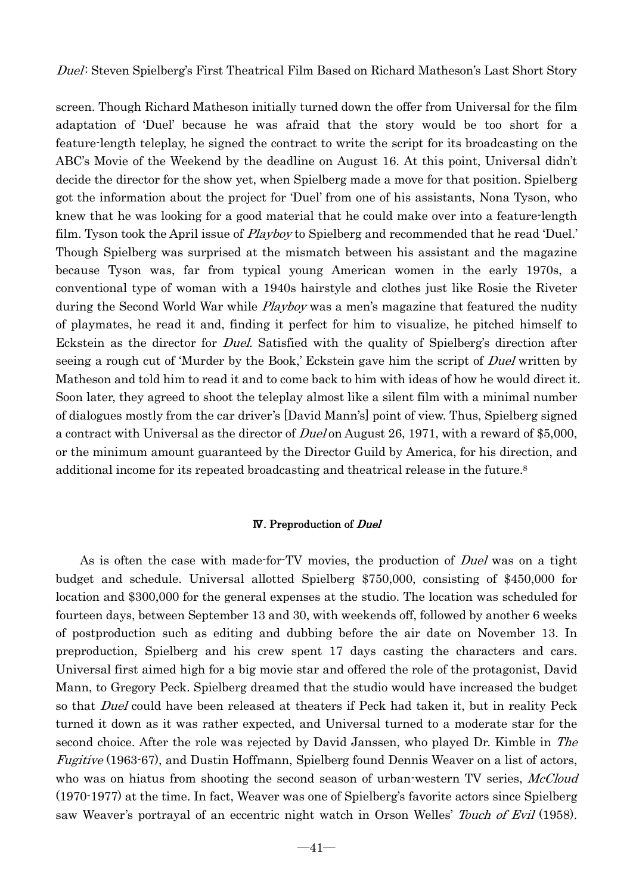screen. Though Richard Matheson initially turned down the offer from Universal for the film adaptation of 'Duel' because he was afraid that the story would be too short for a feature-length teleplay, he signed the contract to write the script for its broadcasting on the ABC's Movie of the Weekend by the deadline on August 16. At this point, Universal didn't decide the director for the show yet, when Spielberg made a move for that position. Spielberg got the information about the project for 'Duel' from one of his assistants, Nona Tyson, who knew that he was looking for a good material that he could make over into a feature-length film. Tyson took the April issue of *Playboy* to Spielberg and recommended that he read 'Duel.' Though Spielberg was surprised at the mismatch between his assistant and the magazine because Tyson was, far from typical young American women in the early 1970s, a conventional type of woman with a 1940s hairstyle and clothes just like Rosie the Riveter during the Second World War while *Playboy* was a men's magazine that featured the nudity of playmates, he read it and, finding it perfect for him to visualize, he pitched himself to Eckstein as the director for Duel. Satisfied with the quality of Spielberg's direction after seeing a rough cut of 'Murder by the Book,' Eckstein gave him the script of *Duel* written by Matheson and told him to read it and to come back to him with ideas of how he would direct it. Soon later, they agreed to shoot the teleplay almost like a silent film with a minimal number of dialogues mostly from the car driver's [David Mann's] point of view. Thus, Spielberg signed a contract with Universal as the director of Duel on August 26, 1971, with a reward of \$5,000, or the minimum amount guaranteed by the Director Guild by America, for his direction, and additional income for its repeated broadcasting and theatrical release in the future.8

# Ⅳ. Preproduction of Duel

As is often the case with made-for-TV movies, the production of *Duel* was on a tight budget and schedule. Universal allotted Spielberg \$750,000, consisting of \$450,000 for location and \$300,000 for the general expenses at the studio. The location was scheduled for fourteen days, between September 13 and 30, with weekends off, followed by another 6 weeks of postproduction such as editing and dubbing before the air date on November 13. In preproduction, Spielberg and his crew spent 17 days casting the characters and cars. Universal first aimed high for a big movie star and offered the role of the protagonist, David Mann, to Gregory Peck. Spielberg dreamed that the studio would have increased the budget so that *Duel* could have been released at theaters if Peck had taken it, but in reality Peck turned it down as it was rather expected, and Universal turned to a moderate star for the second choice. After the role was rejected by David Janssen, who played Dr. Kimble in The *Fugitive* (1963-67), and Dustin Hoffmann, Spielberg found Dennis Weaver on a list of actors, who was on hiatus from shooting the second season of urban-western TV series, McCloud (1970-1977) at the time. In fact, Weaver was one of Spielberg's favorite actors since Spielberg saw Weaver's portrayal of an eccentric night watch in Orson Welles' Touch of Evil (1958).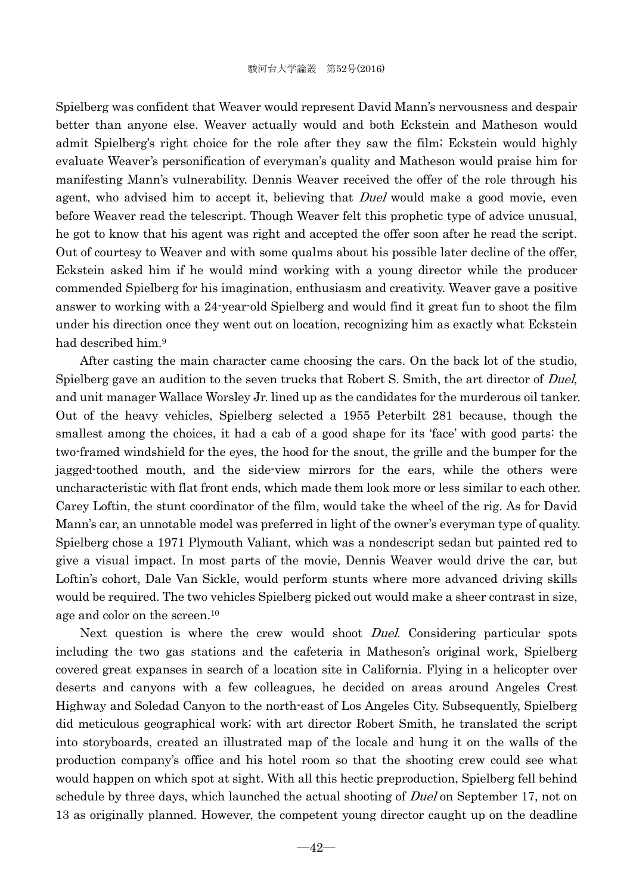Spielberg was confident that Weaver would represent David Mann's nervousness and despair better than anyone else. Weaver actually would and both Eckstein and Matheson would admit Spielberg's right choice for the role after they saw the film; Eckstein would highly evaluate Weaver's personification of everyman's quality and Matheson would praise him for manifesting Mann's vulnerability. Dennis Weaver received the offer of the role through his agent, who advised him to accept it, believing that *Duel* would make a good movie, even before Weaver read the telescript. Though Weaver felt this prophetic type of advice unusual, he got to know that his agent was right and accepted the offer soon after he read the script. Out of courtesy to Weaver and with some qualms about his possible later decline of the offer, Eckstein asked him if he would mind working with a young director while the producer commended Spielberg for his imagination, enthusiasm and creativity. Weaver gave a positive answer to working with a 24-year-old Spielberg and would find it great fun to shoot the film under his direction once they went out on location, recognizing him as exactly what Eckstein had described him.9

 After casting the main character came choosing the cars. On the back lot of the studio, Spielberg gave an audition to the seven trucks that Robert S. Smith, the art director of Duel, and unit manager Wallace Worsley Jr. lined up as the candidates for the murderous oil tanker. Out of the heavy vehicles, Spielberg selected a 1955 Peterbilt 281 because, though the smallest among the choices, it had a cab of a good shape for its 'face' with good parts: the two-framed windshield for the eyes, the hood for the snout, the grille and the bumper for the jagged-toothed mouth, and the side-view mirrors for the ears, while the others were uncharacteristic with flat front ends, which made them look more or less similar to each other. Carey Loftin, the stunt coordinator of the film, would take the wheel of the rig. As for David Mann's car, an unnotable model was preferred in light of the owner's everyman type of quality. Spielberg chose a 1971 Plymouth Valiant, which was a nondescript sedan but painted red to give a visual impact. In most parts of the movie, Dennis Weaver would drive the car, but Loftin's cohort, Dale Van Sickle, would perform stunts where more advanced driving skills would be required. The two vehicles Spielberg picked out would make a sheer contrast in size, age and color on the screen.10

Next question is where the crew would shoot *Duel*. Considering particular spots including the two gas stations and the cafeteria in Matheson's original work, Spielberg covered great expanses in search of a location site in California. Flying in a helicopter over deserts and canyons with a few colleagues, he decided on areas around Angeles Crest Highway and Soledad Canyon to the north-east of Los Angeles City. Subsequently, Spielberg did meticulous geographical work; with art director Robert Smith, he translated the script into storyboards, created an illustrated map of the locale and hung it on the walls of the production company's office and his hotel room so that the shooting crew could see what would happen on which spot at sight. With all this hectic preproduction, Spielberg fell behind schedule by three days, which launched the actual shooting of *Duel* on September 17, not on 13 as originally planned. However, the competent young director caught up on the deadline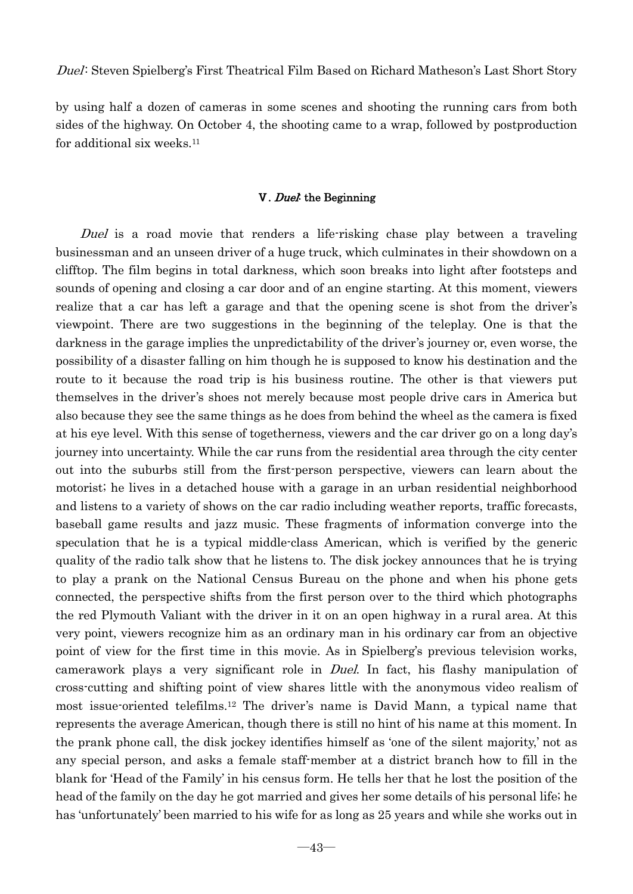by using half a dozen of cameras in some scenes and shooting the running cars from both sides of the highway. On October 4, the shooting came to a wrap, followed by postproduction for additional six weeks.11

# Ⅴ. Duel: the Beginning

Duel is a road movie that renders a life-risking chase play between a traveling businessman and an unseen driver of a huge truck, which culminates in their showdown on a clifftop. The film begins in total darkness, which soon breaks into light after footsteps and sounds of opening and closing a car door and of an engine starting. At this moment, viewers realize that a car has left a garage and that the opening scene is shot from the driver's viewpoint. There are two suggestions in the beginning of the teleplay. One is that the darkness in the garage implies the unpredictability of the driver's journey or, even worse, the possibility of a disaster falling on him though he is supposed to know his destination and the route to it because the road trip is his business routine. The other is that viewers put themselves in the driver's shoes not merely because most people drive cars in America but also because they see the same things as he does from behind the wheel as the camera is fixed at his eye level. With this sense of togetherness, viewers and the car driver go on a long day's journey into uncertainty. While the car runs from the residential area through the city center out into the suburbs still from the first-person perspective, viewers can learn about the motorist; he lives in a detached house with a garage in an urban residential neighborhood and listens to a variety of shows on the car radio including weather reports, traffic forecasts, baseball game results and jazz music. These fragments of information converge into the speculation that he is a typical middle-class American, which is verified by the generic quality of the radio talk show that he listens to. The disk jockey announces that he is trying to play a prank on the National Census Bureau on the phone and when his phone gets connected, the perspective shifts from the first person over to the third which photographs the red Plymouth Valiant with the driver in it on an open highway in a rural area. At this very point, viewers recognize him as an ordinary man in his ordinary car from an objective point of view for the first time in this movie. As in Spielberg's previous television works, camerawork plays a very significant role in Duel. In fact, his flashy manipulation of cross-cutting and shifting point of view shares little with the anonymous video realism of most issue-oriented telefilms.12 The driver's name is David Mann, a typical name that represents the average American, though there is still no hint of his name at this moment. In the prank phone call, the disk jockey identifies himself as 'one of the silent majority,' not as any special person, and asks a female staff-member at a district branch how to fill in the blank for 'Head of the Family' in his census form. He tells her that he lost the position of the head of the family on the day he got married and gives her some details of his personal life; he has 'unfortunately' been married to his wife for as long as 25 years and while she works out in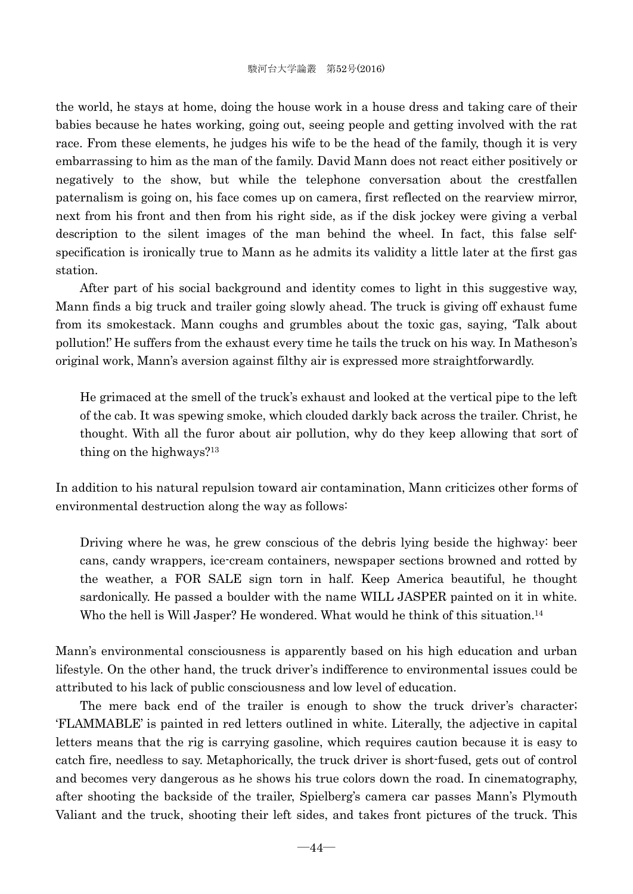the world, he stays at home, doing the house work in a house dress and taking care of their babies because he hates working, going out, seeing people and getting involved with the rat race. From these elements, he judges his wife to be the head of the family, though it is very embarrassing to him as the man of the family. David Mann does not react either positively or negatively to the show, but while the telephone conversation about the crestfallen paternalism is going on, his face comes up on camera, first reflected on the rearview mirror, next from his front and then from his right side, as if the disk jockey were giving a verbal description to the silent images of the man behind the wheel. In fact, this false selfspecification is ironically true to Mann as he admits its validity a little later at the first gas station.

 After part of his social background and identity comes to light in this suggestive way, Mann finds a big truck and trailer going slowly ahead. The truck is giving off exhaust fume from its smokestack. Mann coughs and grumbles about the toxic gas, saying, 'Talk about pollution!' He suffers from the exhaust every time he tails the truck on his way. In Matheson's original work, Mann's aversion against filthy air is expressed more straightforwardly.

He grimaced at the smell of the truck's exhaust and looked at the vertical pipe to the left of the cab. It was spewing smoke, which clouded darkly back across the trailer. Christ, he thought. With all the furor about air pollution, why do they keep allowing that sort of thing on the highways?13

In addition to his natural repulsion toward air contamination, Mann criticizes other forms of environmental destruction along the way as follows:

Driving where he was, he grew conscious of the debris lying beside the highway: beer cans, candy wrappers, ice-cream containers, newspaper sections browned and rotted by the weather, a FOR SALE sign torn in half. Keep America beautiful, he thought sardonically. He passed a boulder with the name WILL JASPER painted on it in white. Who the hell is Will Jasper? He wondered. What would he think of this situation.<sup>14</sup>

Mann's environmental consciousness is apparently based on his high education and urban lifestyle. On the other hand, the truck driver's indifference to environmental issues could be attributed to his lack of public consciousness and low level of education.

 The mere back end of the trailer is enough to show the truck driver's character; 'FLAMMABLE' is painted in red letters outlined in white. Literally, the adjective in capital letters means that the rig is carrying gasoline, which requires caution because it is easy to catch fire, needless to say. Metaphorically, the truck driver is short-fused, gets out of control and becomes very dangerous as he shows his true colors down the road. In cinematography, after shooting the backside of the trailer, Spielberg's camera car passes Mann's Plymouth Valiant and the truck, shooting their left sides, and takes front pictures of the truck. This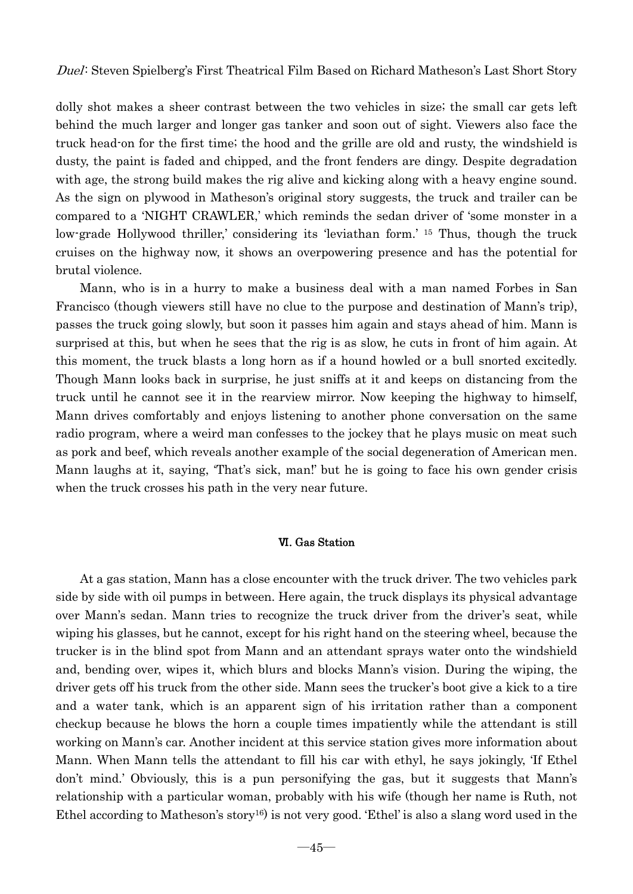dolly shot makes a sheer contrast between the two vehicles in size; the small car gets left behind the much larger and longer gas tanker and soon out of sight. Viewers also face the truck head-on for the first time; the hood and the grille are old and rusty, the windshield is dusty, the paint is faded and chipped, and the front fenders are dingy. Despite degradation with age, the strong build makes the rig alive and kicking along with a heavy engine sound. As the sign on plywood in Matheson's original story suggests, the truck and trailer can be compared to a 'NIGHT CRAWLER,' which reminds the sedan driver of 'some monster in a low-grade Hollywood thriller,' considering its 'leviathan form.' 15 Thus, though the truck cruises on the highway now, it shows an overpowering presence and has the potential for brutal violence.

 Mann, who is in a hurry to make a business deal with a man named Forbes in San Francisco (though viewers still have no clue to the purpose and destination of Mann's trip), passes the truck going slowly, but soon it passes him again and stays ahead of him. Mann is surprised at this, but when he sees that the rig is as slow, he cuts in front of him again. At this moment, the truck blasts a long horn as if a hound howled or a bull snorted excitedly. Though Mann looks back in surprise, he just sniffs at it and keeps on distancing from the truck until he cannot see it in the rearview mirror. Now keeping the highway to himself, Mann drives comfortably and enjoys listening to another phone conversation on the same radio program, where a weird man confesses to the jockey that he plays music on meat such as pork and beef, which reveals another example of the social degeneration of American men. Mann laughs at it, saying, 'That's sick, man!' but he is going to face his own gender crisis when the truck crosses his path in the very near future.

#### Ⅵ. Gas Station

 At a gas station, Mann has a close encounter with the truck driver. The two vehicles park side by side with oil pumps in between. Here again, the truck displays its physical advantage over Mann's sedan. Mann tries to recognize the truck driver from the driver's seat, while wiping his glasses, but he cannot, except for his right hand on the steering wheel, because the trucker is in the blind spot from Mann and an attendant sprays water onto the windshield and, bending over, wipes it, which blurs and blocks Mann's vision. During the wiping, the driver gets off his truck from the other side. Mann sees the trucker's boot give a kick to a tire and a water tank, which is an apparent sign of his irritation rather than a component checkup because he blows the horn a couple times impatiently while the attendant is still working on Mann's car. Another incident at this service station gives more information about Mann. When Mann tells the attendant to fill his car with ethyl, he says jokingly, 'If Ethel don't mind.' Obviously, this is a pun personifying the gas, but it suggests that Mann's relationship with a particular woman, probably with his wife (though her name is Ruth, not Ethel according to Matheson's story16) is not very good. 'Ethel' is also a slang word used in the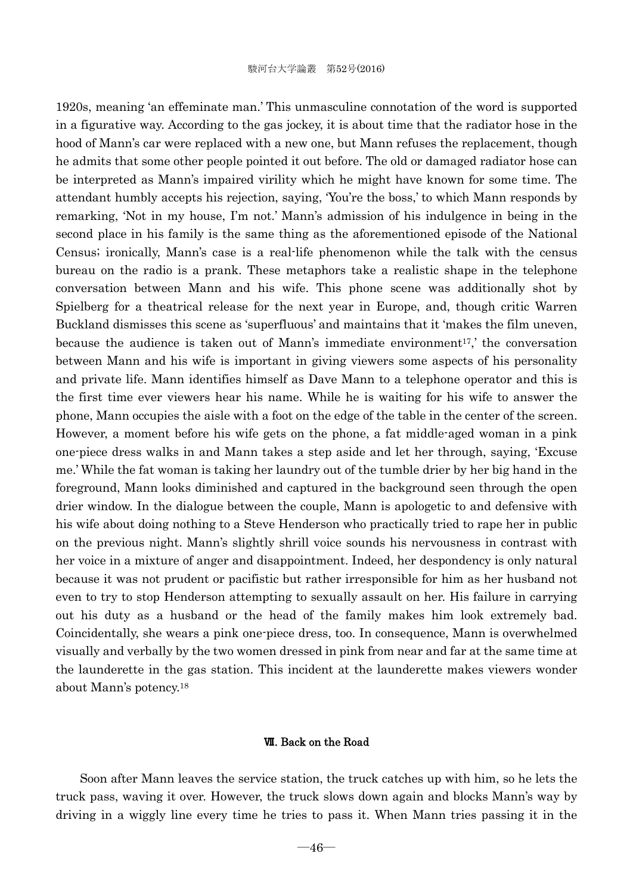1920s, meaning 'an effeminate man.' This unmasculine connotation of the word is supported in a figurative way. According to the gas jockey, it is about time that the radiator hose in the hood of Mann's car were replaced with a new one, but Mann refuses the replacement, though he admits that some other people pointed it out before. The old or damaged radiator hose can be interpreted as Mann's impaired virility which he might have known for some time. The attendant humbly accepts his rejection, saying, 'You're the boss,' to which Mann responds by remarking, 'Not in my house, I'm not.' Mann's admission of his indulgence in being in the second place in his family is the same thing as the aforementioned episode of the National Census; ironically, Mann's case is a real-life phenomenon while the talk with the census bureau on the radio is a prank. These metaphors take a realistic shape in the telephone conversation between Mann and his wife. This phone scene was additionally shot by Spielberg for a theatrical release for the next year in Europe, and, though critic Warren Buckland dismisses this scene as 'superfluous' and maintains that it 'makes the film uneven, because the audience is taken out of Mann's immediate environment<sup>17</sup>, the conversation between Mann and his wife is important in giving viewers some aspects of his personality and private life. Mann identifies himself as Dave Mann to a telephone operator and this is the first time ever viewers hear his name. While he is waiting for his wife to answer the phone, Mann occupies the aisle with a foot on the edge of the table in the center of the screen. However, a moment before his wife gets on the phone, a fat middle-aged woman in a pink one-piece dress walks in and Mann takes a step aside and let her through, saying, 'Excuse me.' While the fat woman is taking her laundry out of the tumble drier by her big hand in the foreground, Mann looks diminished and captured in the background seen through the open drier window. In the dialogue between the couple, Mann is apologetic to and defensive with his wife about doing nothing to a Steve Henderson who practically tried to rape her in public on the previous night. Mann's slightly shrill voice sounds his nervousness in contrast with her voice in a mixture of anger and disappointment. Indeed, her despondency is only natural because it was not prudent or pacifistic but rather irresponsible for him as her husband not even to try to stop Henderson attempting to sexually assault on her. His failure in carrying out his duty as a husband or the head of the family makes him look extremely bad. Coincidentally, she wears a pink one-piece dress, too. In consequence, Mann is overwhelmed visually and verbally by the two women dressed in pink from near and far at the same time at the launderette in the gas station. This incident at the launderette makes viewers wonder about Mann's potency.18

#### Ⅶ. Back on the Road

 Soon after Mann leaves the service station, the truck catches up with him, so he lets the truck pass, waving it over. However, the truck slows down again and blocks Mann's way by driving in a wiggly line every time he tries to pass it. When Mann tries passing it in the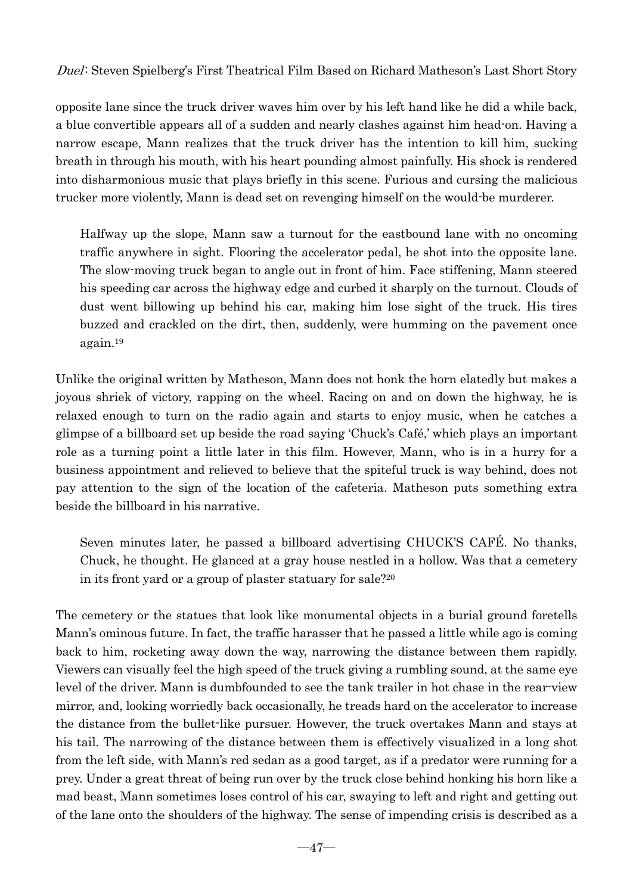opposite lane since the truck driver waves him over by his left hand like he did a while back, a blue convertible appears all of a sudden and nearly clashes against him head-on. Having a narrow escape, Mann realizes that the truck driver has the intention to kill him, sucking breath in through his mouth, with his heart pounding almost painfully. His shock is rendered into disharmonious music that plays briefly in this scene. Furious and cursing the malicious trucker more violently, Mann is dead set on revenging himself on the would-be murderer.

Halfway up the slope, Mann saw a turnout for the eastbound lane with no oncoming traffic anywhere in sight. Flooring the accelerator pedal, he shot into the opposite lane. The slow-moving truck began to angle out in front of him. Face stiffening, Mann steered his speeding car across the highway edge and curbed it sharply on the turnout. Clouds of dust went billowing up behind his car, making him lose sight of the truck. His tires buzzed and crackled on the dirt, then, suddenly, were humming on the pavement once again.19

Unlike the original written by Matheson, Mann does not honk the horn elatedly but makes a joyous shriek of victory, rapping on the wheel. Racing on and on down the highway, he is relaxed enough to turn on the radio again and starts to enjoy music, when he catches a glimpse of a billboard set up beside the road saying 'Chuck's Café,' which plays an important role as a turning point a little later in this film. However, Mann, who is in a hurry for a business appointment and relieved to believe that the spiteful truck is way behind, does not pay attention to the sign of the location of the cafeteria. Matheson puts something extra beside the billboard in his narrative.

Seven minutes later, he passed a billboard advertising CHUCK'S CAFÉ. No thanks, Chuck, he thought. He glanced at a gray house nestled in a hollow. Was that a cemetery in its front yard or a group of plaster statuary for sale?20

The cemetery or the statues that look like monumental objects in a burial ground foretells Mann's ominous future. In fact, the traffic harasser that he passed a little while ago is coming back to him, rocketing away down the way, narrowing the distance between them rapidly. Viewers can visually feel the high speed of the truck giving a rumbling sound, at the same eye level of the driver. Mann is dumbfounded to see the tank trailer in hot chase in the rear-view mirror, and, looking worriedly back occasionally, he treads hard on the accelerator to increase the distance from the bullet-like pursuer. However, the truck overtakes Mann and stays at his tail. The narrowing of the distance between them is effectively visualized in a long shot from the left side, with Mann's red sedan as a good target, as if a predator were running for a prey. Under a great threat of being run over by the truck close behind honking his horn like a mad beast, Mann sometimes loses control of his car, swaying to left and right and getting out of the lane onto the shoulders of the highway. The sense of impending crisis is described as a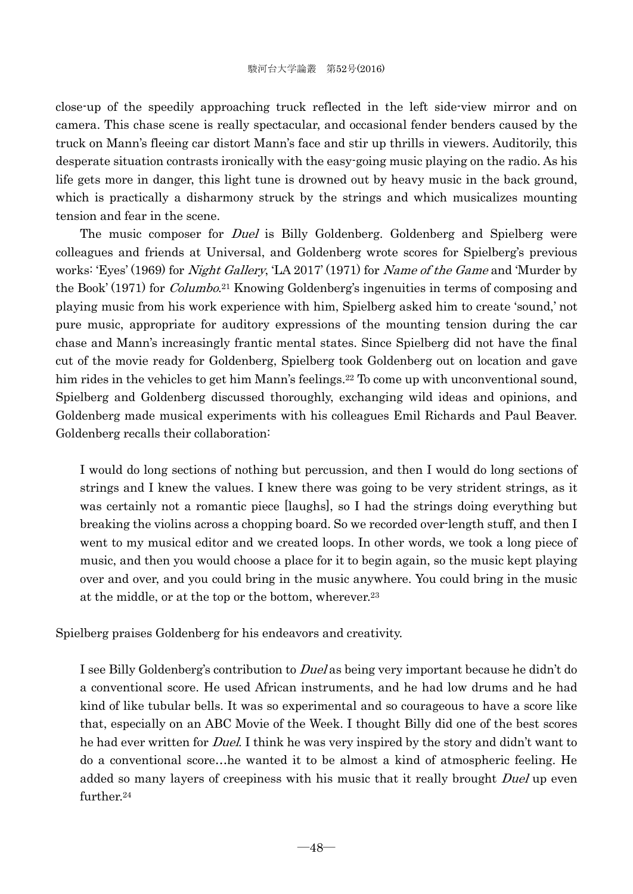close-up of the speedily approaching truck reflected in the left side-view mirror and on camera. This chase scene is really spectacular, and occasional fender benders caused by the truck on Mann's fleeing car distort Mann's face and stir up thrills in viewers. Auditorily, this desperate situation contrasts ironically with the easy-going music playing on the radio. As his life gets more in danger, this light tune is drowned out by heavy music in the back ground, which is practically a disharmony struck by the strings and which musicalizes mounting tension and fear in the scene.

The music composer for *Duel* is Billy Goldenberg. Goldenberg and Spielberg were colleagues and friends at Universal, and Goldenberg wrote scores for Spielberg's previous works: 'Eyes' (1969) for *Night Gallery*, 'LA 2017' (1971) for *Name of the Game* and 'Murder by the Book' (1971) for *Columbo.*<sup>21</sup> Knowing Goldenberg's ingenuities in terms of composing and playing music from his work experience with him, Spielberg asked him to create 'sound,' not pure music, appropriate for auditory expressions of the mounting tension during the car chase and Mann's increasingly frantic mental states. Since Spielberg did not have the final cut of the movie ready for Goldenberg, Spielberg took Goldenberg out on location and gave him rides in the vehicles to get him Mann's feelings.<sup>22</sup> To come up with unconventional sound, Spielberg and Goldenberg discussed thoroughly, exchanging wild ideas and opinions, and Goldenberg made musical experiments with his colleagues Emil Richards and Paul Beaver. Goldenberg recalls their collaboration:

I would do long sections of nothing but percussion, and then I would do long sections of strings and I knew the values. I knew there was going to be very strident strings, as it was certainly not a romantic piece [laughs], so I had the strings doing everything but breaking the violins across a chopping board. So we recorded over-length stuff, and then I went to my musical editor and we created loops. In other words, we took a long piece of music, and then you would choose a place for it to begin again, so the music kept playing over and over, and you could bring in the music anywhere. You could bring in the music at the middle, or at the top or the bottom, wherever.23

Spielberg praises Goldenberg for his endeavors and creativity.

I see Billy Goldenberg's contribution to *Duel* as being very important because he didn't do a conventional score. He used African instruments, and he had low drums and he had kind of like tubular bells. It was so experimental and so courageous to have a score like that, especially on an ABC Movie of the Week. I thought Billy did one of the best scores he had ever written for Duel. I think he was very inspired by the story and didn't want to do a conventional score…he wanted it to be almost a kind of atmospheric feeling. He added so many layers of creepiness with his music that it really brought Duel up even further.24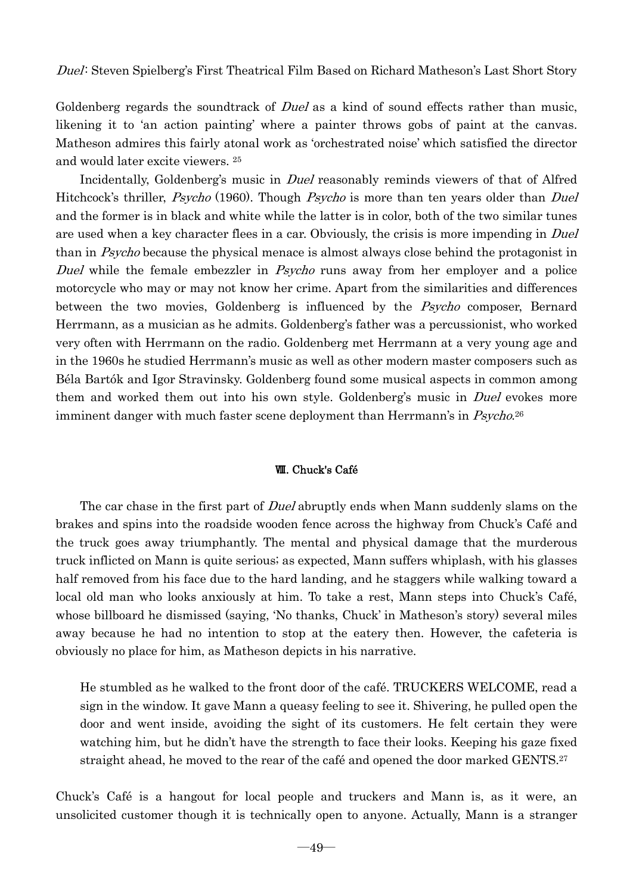Goldenberg regards the soundtrack of *Duel* as a kind of sound effects rather than music, likening it to 'an action painting' where a painter throws gobs of paint at the canvas. Matheson admires this fairly atonal work as 'orchestrated noise' which satisfied the director and would later excite viewers. 25

Incidentally, Goldenberg's music in *Duel* reasonably reminds viewers of that of Alfred Hitchcock's thriller, *Psycho* (1960). Though *Psycho* is more than ten years older than *Duel* and the former is in black and white while the latter is in color, both of the two similar tunes are used when a key character flees in a car. Obviously, the crisis is more impending in Duel than in Psycho because the physical menace is almost always close behind the protagonist in Duel while the female embezzler in *Psycho* runs away from her employer and a police motorcycle who may or may not know her crime. Apart from the similarities and differences between the two movies, Goldenberg is influenced by the *Psycho* composer, Bernard Herrmann, as a musician as he admits. Goldenberg's father was a percussionist, who worked very often with Herrmann on the radio. Goldenberg met Herrmann at a very young age and in the 1960s he studied Herrmann's music as well as other modern master composers such as Béla Bartók and Igor Stravinsky. Goldenberg found some musical aspects in common among them and worked them out into his own style. Goldenberg's music in *Duel* evokes more imminent danger with much faster scene deployment than Herrmann's in Psycho.<sup>26</sup>

# Ⅷ. Chuck's Café

The car chase in the first part of Duel abruptly ends when Mann suddenly slams on the brakes and spins into the roadside wooden fence across the highway from Chuck's Café and the truck goes away triumphantly. The mental and physical damage that the murderous truck inflicted on Mann is quite serious; as expected, Mann suffers whiplash, with his glasses half removed from his face due to the hard landing, and he staggers while walking toward a local old man who looks anxiously at him. To take a rest, Mann steps into Chuck's Café, whose billboard he dismissed (saying, 'No thanks, Chuck' in Matheson's story) several miles away because he had no intention to stop at the eatery then. However, the cafeteria is obviously no place for him, as Matheson depicts in his narrative.

He stumbled as he walked to the front door of the café. TRUCKERS WELCOME, read a sign in the window. It gave Mann a queasy feeling to see it. Shivering, he pulled open the door and went inside, avoiding the sight of its customers. He felt certain they were watching him, but he didn't have the strength to face their looks. Keeping his gaze fixed straight ahead, he moved to the rear of the café and opened the door marked GENTS.<sup>27</sup>

Chuck's Café is a hangout for local people and truckers and Mann is, as it were, an unsolicited customer though it is technically open to anyone. Actually, Mann is a stranger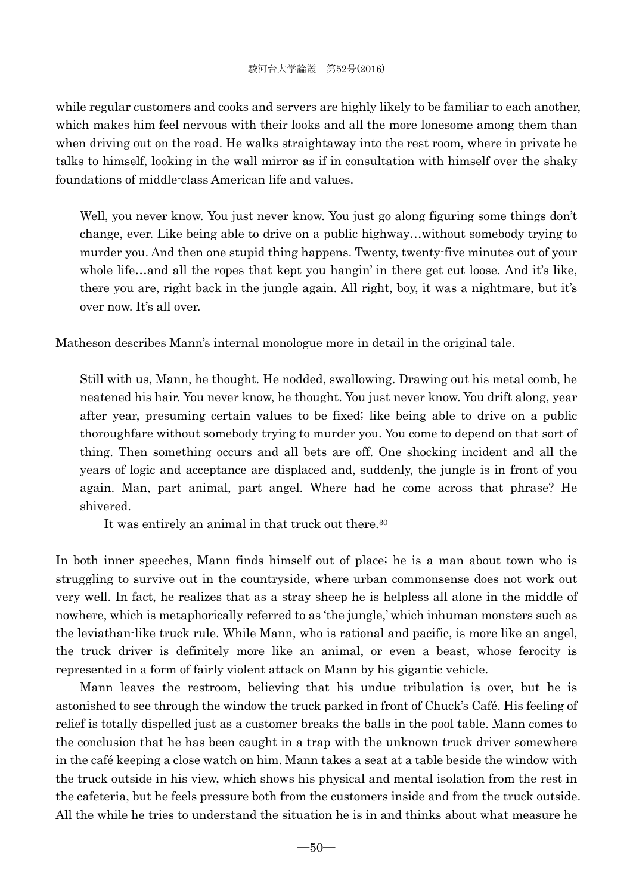while regular customers and cooks and servers are highly likely to be familiar to each another, which makes him feel nervous with their looks and all the more lonesome among them than when driving out on the road. He walks straightaway into the rest room, where in private he talks to himself, looking in the wall mirror as if in consultation with himself over the shaky foundations of middle-class American life and values.

Well, you never know. You just never know. You just go along figuring some things don't change, ever. Like being able to drive on a public highway…without somebody trying to murder you. And then one stupid thing happens. Twenty, twenty-five minutes out of your whole life…and all the ropes that kept you hangin' in there get cut loose. And it's like, there you are, right back in the jungle again. All right, boy, it was a nightmare, but it's over now. It's all over.

Matheson describes Mann's internal monologue more in detail in the original tale.

Still with us, Mann, he thought. He nodded, swallowing. Drawing out his metal comb, he neatened his hair. You never know, he thought. You just never know. You drift along, year after year, presuming certain values to be fixed; like being able to drive on a public thoroughfare without somebody trying to murder you. You come to depend on that sort of thing. Then something occurs and all bets are off. One shocking incident and all the years of logic and acceptance are displaced and, suddenly, the jungle is in front of you again. Man, part animal, part angel. Where had he come across that phrase? He shivered.

It was entirely an animal in that truck out there.30

In both inner speeches, Mann finds himself out of place; he is a man about town who is struggling to survive out in the countryside, where urban commonsense does not work out very well. In fact, he realizes that as a stray sheep he is helpless all alone in the middle of nowhere, which is metaphorically referred to as 'the jungle,' which inhuman monsters such as the leviathan-like truck rule. While Mann, who is rational and pacific, is more like an angel, the truck driver is definitely more like an animal, or even a beast, whose ferocity is represented in a form of fairly violent attack on Mann by his gigantic vehicle.

 Mann leaves the restroom, believing that his undue tribulation is over, but he is astonished to see through the window the truck parked in front of Chuck's Café. His feeling of relief is totally dispelled just as a customer breaks the balls in the pool table. Mann comes to the conclusion that he has been caught in a trap with the unknown truck driver somewhere in the café keeping a close watch on him. Mann takes a seat at a table beside the window with the truck outside in his view, which shows his physical and mental isolation from the rest in the cafeteria, but he feels pressure both from the customers inside and from the truck outside. All the while he tries to understand the situation he is in and thinks about what measure he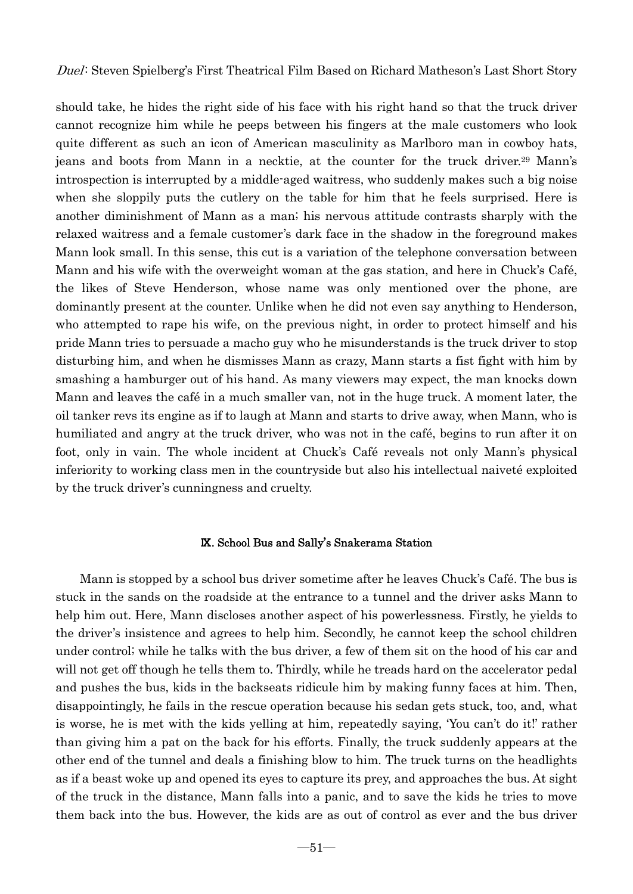should take, he hides the right side of his face with his right hand so that the truck driver cannot recognize him while he peeps between his fingers at the male customers who look quite different as such an icon of American masculinity as Marlboro man in cowboy hats, jeans and boots from Mann in a necktie, at the counter for the truck driver.29 Mann's introspection is interrupted by a middle-aged waitress, who suddenly makes such a big noise when she sloppily puts the cutlery on the table for him that he feels surprised. Here is another diminishment of Mann as a man; his nervous attitude contrasts sharply with the relaxed waitress and a female customer's dark face in the shadow in the foreground makes Mann look small. In this sense, this cut is a variation of the telephone conversation between Mann and his wife with the overweight woman at the gas station, and here in Chuck's Café, the likes of Steve Henderson, whose name was only mentioned over the phone, are dominantly present at the counter. Unlike when he did not even say anything to Henderson, who attempted to rape his wife, on the previous night, in order to protect himself and his pride Mann tries to persuade a macho guy who he misunderstands is the truck driver to stop disturbing him, and when he dismisses Mann as crazy, Mann starts a fist fight with him by smashing a hamburger out of his hand. As many viewers may expect, the man knocks down Mann and leaves the café in a much smaller van, not in the huge truck. A moment later, the oil tanker revs its engine as if to laugh at Mann and starts to drive away, when Mann, who is humiliated and angry at the truck driver, who was not in the café, begins to run after it on foot, only in vain. The whole incident at Chuck's Café reveals not only Mann's physical inferiority to working class men in the countryside but also his intellectual naiveté exploited by the truck driver's cunningness and cruelty.

#### Ⅸ. School Bus and Sally's Snakerama Station

 Mann is stopped by a school bus driver sometime after he leaves Chuck's Café. The bus is stuck in the sands on the roadside at the entrance to a tunnel and the driver asks Mann to help him out. Here, Mann discloses another aspect of his powerlessness. Firstly, he yields to the driver's insistence and agrees to help him. Secondly, he cannot keep the school children under control; while he talks with the bus driver, a few of them sit on the hood of his car and will not get off though he tells them to. Thirdly, while he treads hard on the accelerator pedal and pushes the bus, kids in the backseats ridicule him by making funny faces at him. Then, disappointingly, he fails in the rescue operation because his sedan gets stuck, too, and, what is worse, he is met with the kids yelling at him, repeatedly saying, 'You can't do it!' rather than giving him a pat on the back for his efforts. Finally, the truck suddenly appears at the other end of the tunnel and deals a finishing blow to him. The truck turns on the headlights as if a beast woke up and opened its eyes to capture its prey, and approaches the bus. At sight of the truck in the distance, Mann falls into a panic, and to save the kids he tries to move them back into the bus. However, the kids are as out of control as ever and the bus driver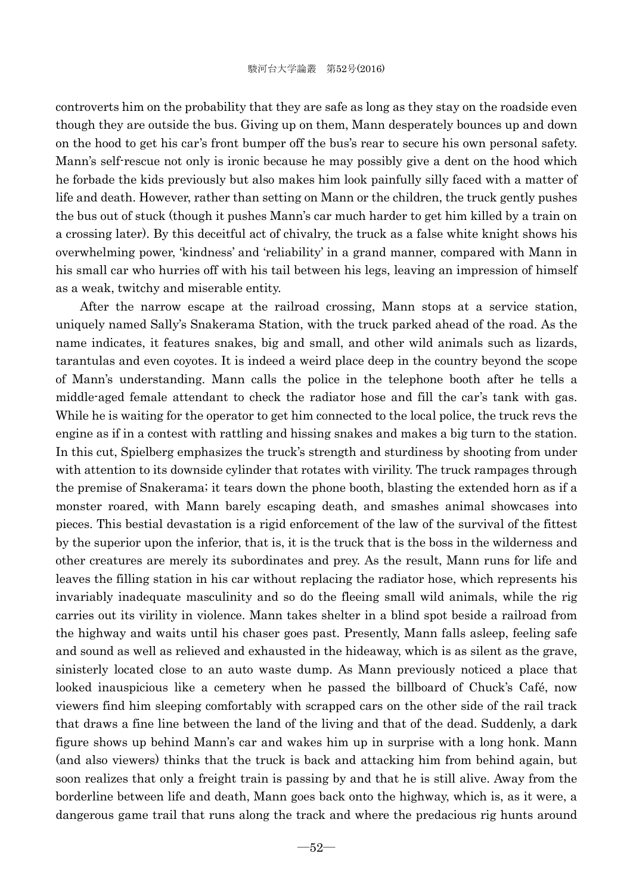controverts him on the probability that they are safe as long as they stay on the roadside even though they are outside the bus. Giving up on them, Mann desperately bounces up and down on the hood to get his car's front bumper off the bus's rear to secure his own personal safety. Mann's self-rescue not only is ironic because he may possibly give a dent on the hood which he forbade the kids previously but also makes him look painfully silly faced with a matter of life and death. However, rather than setting on Mann or the children, the truck gently pushes the bus out of stuck (though it pushes Mann's car much harder to get him killed by a train on a crossing later). By this deceitful act of chivalry, the truck as a false white knight shows his overwhelming power, 'kindness' and 'reliability' in a grand manner, compared with Mann in his small car who hurries off with his tail between his legs, leaving an impression of himself as a weak, twitchy and miserable entity.

 After the narrow escape at the railroad crossing, Mann stops at a service station, uniquely named Sally's Snakerama Station, with the truck parked ahead of the road. As the name indicates, it features snakes, big and small, and other wild animals such as lizards, tarantulas and even coyotes. It is indeed a weird place deep in the country beyond the scope of Mann's understanding. Mann calls the police in the telephone booth after he tells a middle-aged female attendant to check the radiator hose and fill the car's tank with gas. While he is waiting for the operator to get him connected to the local police, the truck revs the engine as if in a contest with rattling and hissing snakes and makes a big turn to the station. In this cut, Spielberg emphasizes the truck's strength and sturdiness by shooting from under with attention to its downside cylinder that rotates with virility. The truck rampages through the premise of Snakerama; it tears down the phone booth, blasting the extended horn as if a monster roared, with Mann barely escaping death, and smashes animal showcases into pieces. This bestial devastation is a rigid enforcement of the law of the survival of the fittest by the superior upon the inferior, that is, it is the truck that is the boss in the wilderness and other creatures are merely its subordinates and prey. As the result, Mann runs for life and leaves the filling station in his car without replacing the radiator hose, which represents his invariably inadequate masculinity and so do the fleeing small wild animals, while the rig carries out its virility in violence. Mann takes shelter in a blind spot beside a railroad from the highway and waits until his chaser goes past. Presently, Mann falls asleep, feeling safe and sound as well as relieved and exhausted in the hideaway, which is as silent as the grave, sinisterly located close to an auto waste dump. As Mann previously noticed a place that looked inauspicious like a cemetery when he passed the billboard of Chuck's Café, now viewers find him sleeping comfortably with scrapped cars on the other side of the rail track that draws a fine line between the land of the living and that of the dead. Suddenly, a dark figure shows up behind Mann's car and wakes him up in surprise with a long honk. Mann (and also viewers) thinks that the truck is back and attacking him from behind again, but soon realizes that only a freight train is passing by and that he is still alive. Away from the borderline between life and death, Mann goes back onto the highway, which is, as it were, a dangerous game trail that runs along the track and where the predacious rig hunts around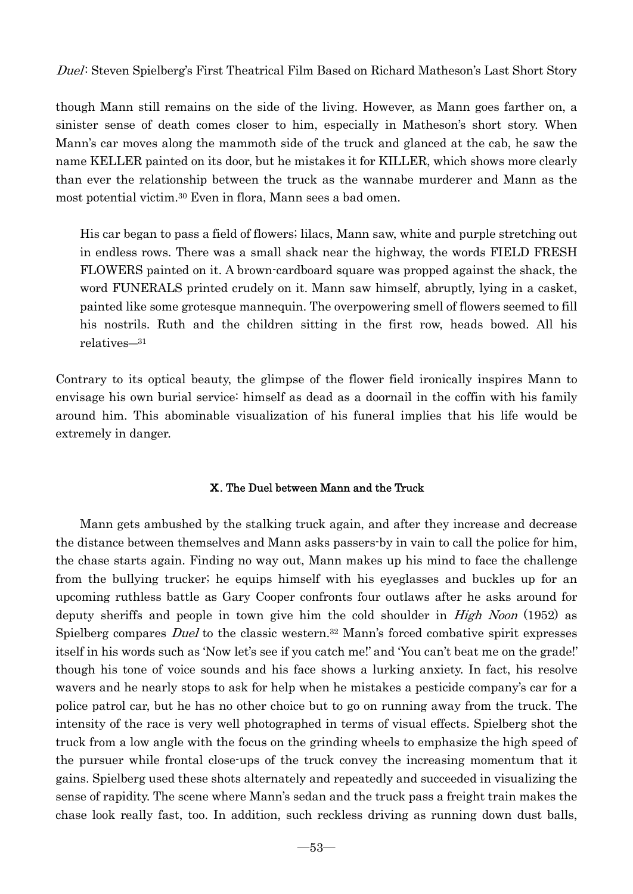though Mann still remains on the side of the living. However, as Mann goes farther on, a sinister sense of death comes closer to him, especially in Matheson's short story. When Mann's car moves along the mammoth side of the truck and glanced at the cab, he saw the name KELLER painted on its door, but he mistakes it for KILLER, which shows more clearly than ever the relationship between the truck as the wannabe murderer and Mann as the most potential victim.30 Even in flora, Mann sees a bad omen.

His car began to pass a field of flowers; lilacs, Mann saw, white and purple stretching out in endless rows. There was a small shack near the highway, the words FIELD FRESH FLOWERS painted on it. A brown-cardboard square was propped against the shack, the word FUNERALS printed crudely on it. Mann saw himself, abruptly, lying in a casket, painted like some grotesque mannequin. The overpowering smell of flowers seemed to fill his nostrils. Ruth and the children sitting in the first row, heads bowed. All his relatives―<sup>31</sup>

Contrary to its optical beauty, the glimpse of the flower field ironically inspires Mann to envisage his own burial service: himself as dead as a doornail in the coffin with his family around him. This abominable visualization of his funeral implies that his life would be extremely in danger.

# Ⅹ. The Duel between Mann and the Truck

 Mann gets ambushed by the stalking truck again, and after they increase and decrease the distance between themselves and Mann asks passers-by in vain to call the police for him, the chase starts again. Finding no way out, Mann makes up his mind to face the challenge from the bullying trucker; he equips himself with his eyeglasses and buckles up for an upcoming ruthless battle as Gary Cooper confronts four outlaws after he asks around for deputy sheriffs and people in town give him the cold shoulder in *High Noon* (1952) as Spielberg compares Duel to the classic western.32 Mann's forced combative spirit expresses itself in his words such as 'Now let's see if you catch me!' and 'You can't beat me on the grade!' though his tone of voice sounds and his face shows a lurking anxiety. In fact, his resolve wavers and he nearly stops to ask for help when he mistakes a pesticide company's car for a police patrol car, but he has no other choice but to go on running away from the truck. The intensity of the race is very well photographed in terms of visual effects. Spielberg shot the truck from a low angle with the focus on the grinding wheels to emphasize the high speed of the pursuer while frontal close-ups of the truck convey the increasing momentum that it gains. Spielberg used these shots alternately and repeatedly and succeeded in visualizing the sense of rapidity. The scene where Mann's sedan and the truck pass a freight train makes the chase look really fast, too. In addition, such reckless driving as running down dust balls,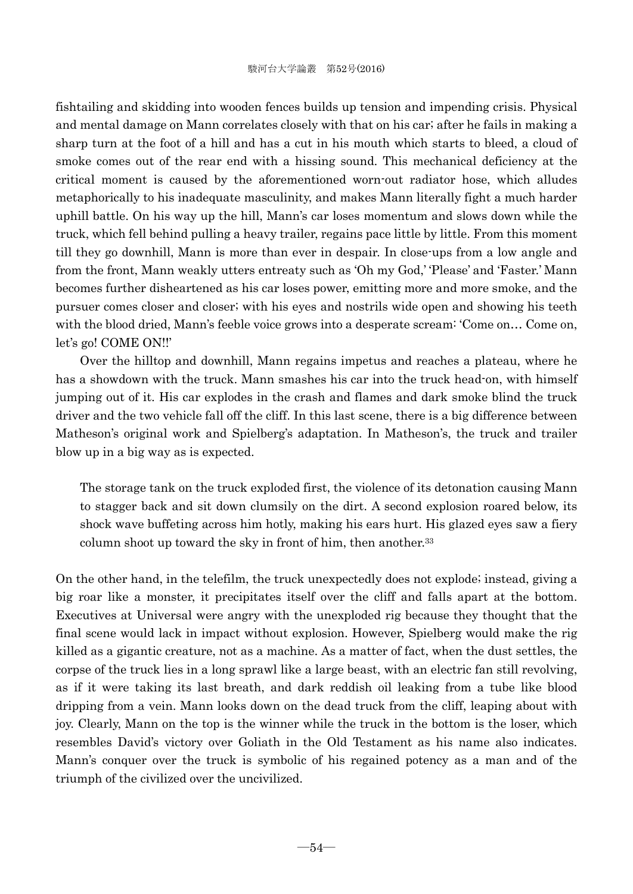fishtailing and skidding into wooden fences builds up tension and impending crisis. Physical and mental damage on Mann correlates closely with that on his car; after he fails in making a sharp turn at the foot of a hill and has a cut in his mouth which starts to bleed, a cloud of smoke comes out of the rear end with a hissing sound. This mechanical deficiency at the critical moment is caused by the aforementioned worn-out radiator hose, which alludes metaphorically to his inadequate masculinity, and makes Mann literally fight a much harder uphill battle. On his way up the hill, Mann's car loses momentum and slows down while the truck, which fell behind pulling a heavy trailer, regains pace little by little. From this moment till they go downhill, Mann is more than ever in despair. In close-ups from a low angle and from the front, Mann weakly utters entreaty such as 'Oh my God,' 'Please' and 'Faster.' Mann becomes further disheartened as his car loses power, emitting more and more smoke, and the pursuer comes closer and closer; with his eyes and nostrils wide open and showing his teeth with the blood dried, Mann's feeble voice grows into a desperate scream: 'Come on… Come on, let's go! COME ON!!'

 Over the hilltop and downhill, Mann regains impetus and reaches a plateau, where he has a showdown with the truck. Mann smashes his car into the truck head-on, with himself jumping out of it. His car explodes in the crash and flames and dark smoke blind the truck driver and the two vehicle fall off the cliff. In this last scene, there is a big difference between Matheson's original work and Spielberg's adaptation. In Matheson's, the truck and trailer blow up in a big way as is expected.

The storage tank on the truck exploded first, the violence of its detonation causing Mann to stagger back and sit down clumsily on the dirt. A second explosion roared below, its shock wave buffeting across him hotly, making his ears hurt. His glazed eyes saw a fiery column shoot up toward the sky in front of him, then another.<sup>33</sup>

On the other hand, in the telefilm, the truck unexpectedly does not explode; instead, giving a big roar like a monster, it precipitates itself over the cliff and falls apart at the bottom. Executives at Universal were angry with the unexploded rig because they thought that the final scene would lack in impact without explosion. However, Spielberg would make the rig killed as a gigantic creature, not as a machine. As a matter of fact, when the dust settles, the corpse of the truck lies in a long sprawl like a large beast, with an electric fan still revolving, as if it were taking its last breath, and dark reddish oil leaking from a tube like blood dripping from a vein. Mann looks down on the dead truck from the cliff, leaping about with joy. Clearly, Mann on the top is the winner while the truck in the bottom is the loser, which resembles David's victory over Goliath in the Old Testament as his name also indicates. Mann's conquer over the truck is symbolic of his regained potency as a man and of the triumph of the civilized over the uncivilized.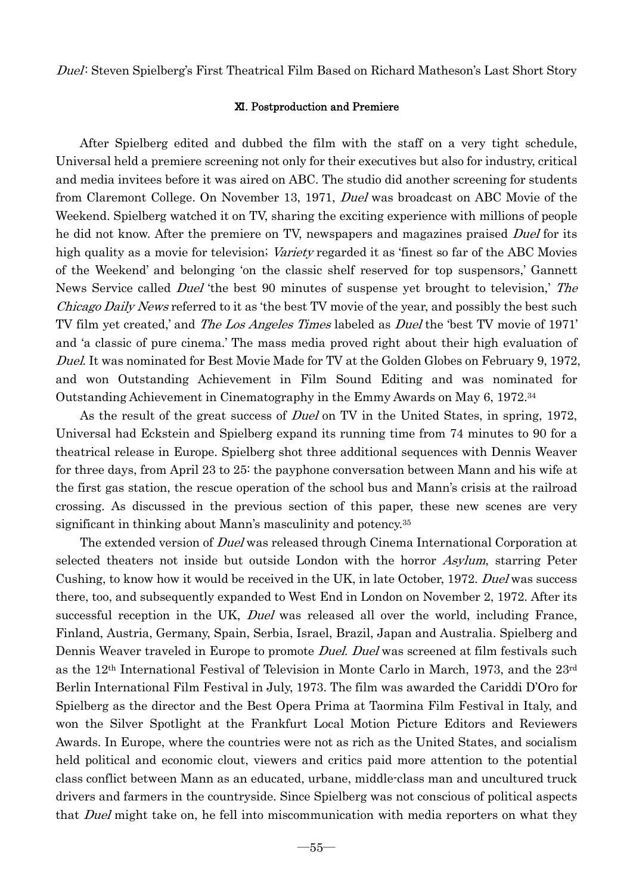#### Ⅺ. Postproduction and Premiere

 After Spielberg edited and dubbed the film with the staff on a very tight schedule, Universal held a premiere screening not only for their executives but also for industry, critical and media invitees before it was aired on ABC. The studio did another screening for students from Claremont College. On November 13, 1971, Duel was broadcast on ABC Movie of the Weekend. Spielberg watched it on TV, sharing the exciting experience with millions of people he did not know. After the premiere on TV, newspapers and magazines praised *Duel* for its high quality as a movie for television; Variety regarded it as 'finest so far of the ABC Movies of the Weekend' and belonging 'on the classic shelf reserved for top suspensors,' Gannett News Service called *Duel* 'the best 90 minutes of suspense yet brought to television,' The Chicago Daily News referred to it as 'the best TV movie of the year, and possibly the best such TV film yet created,' and The Los Angeles Times labeled as Duel the 'best TV movie of 1971' and 'a classic of pure cinema.' The mass media proved right about their high evaluation of Duel. It was nominated for Best Movie Made for TV at the Golden Globes on February 9, 1972, and won Outstanding Achievement in Film Sound Editing and was nominated for Outstanding Achievement in Cinematography in the Emmy Awards on May 6, 1972.34

As the result of the great success of *Duel* on TV in the United States, in spring, 1972, Universal had Eckstein and Spielberg expand its running time from 74 minutes to 90 for a theatrical release in Europe. Spielberg shot three additional sequences with Dennis Weaver for three days, from April 23 to 25: the payphone conversation between Mann and his wife at the first gas station, the rescue operation of the school bus and Mann's crisis at the railroad crossing. As discussed in the previous section of this paper, these new scenes are very significant in thinking about Mann's masculinity and potency.35

The extended version of *Duel* was released through Cinema International Corporation at selected theaters not inside but outside London with the horror Asylum, starring Peter Cushing, to know how it would be received in the UK, in late October, 1972. Duel was success there, too, and subsequently expanded to West End in London on November 2, 1972. After its successful reception in the UK, Duel was released all over the world, including France, Finland, Austria, Germany, Spain, Serbia, Israel, Brazil, Japan and Australia. Spielberg and Dennis Weaver traveled in Europe to promote *Duel. Duel* was screened at film festivals such as the 12th International Festival of Television in Monte Carlo in March, 1973, and the 23rd Berlin International Film Festival in July, 1973. The film was awarded the Cariddi D'Oro for Spielberg as the director and the Best Opera Prima at Taormina Film Festival in Italy, and won the Silver Spotlight at the Frankfurt Local Motion Picture Editors and Reviewers Awards. In Europe, where the countries were not as rich as the United States, and socialism held political and economic clout, viewers and critics paid more attention to the potential class conflict between Mann as an educated, urbane, middle-class man and uncultured truck drivers and farmers in the countryside. Since Spielberg was not conscious of political aspects that *Duel* might take on, he fell into miscommunication with media reporters on what they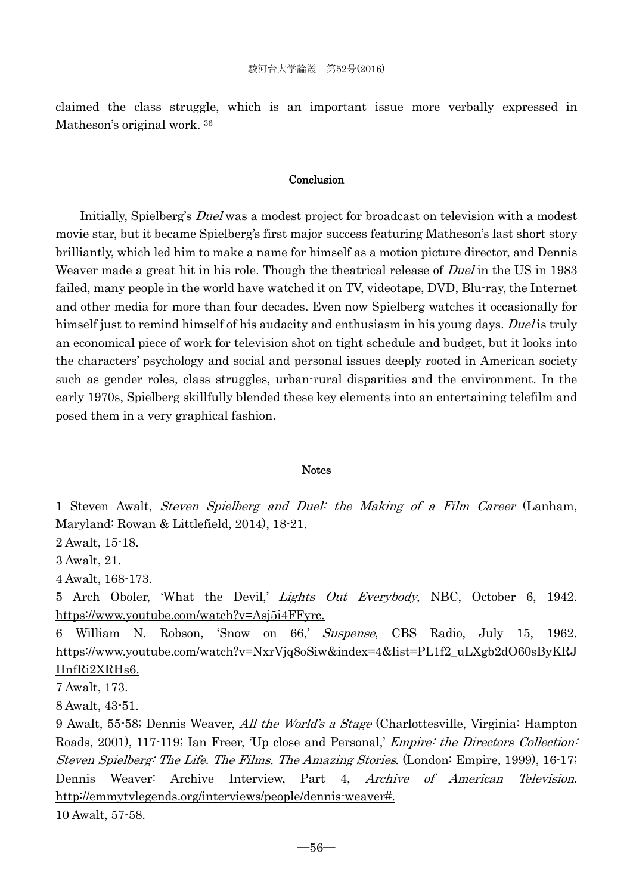claimed the class struggle, which is an important issue more verbally expressed in Matheson's original work. 36

# Conclusion

 Initially, Spielberg's Duel was a modest project for broadcast on television with a modest movie star, but it became Spielberg's first major success featuring Matheson's last short story brilliantly, which led him to make a name for himself as a motion picture director, and Dennis Weaver made a great hit in his role. Though the theatrical release of *Duel* in the US in 1983 failed, many people in the world have watched it on TV, videotape, DVD, Blu-ray, the Internet and other media for more than four decades. Even now Spielberg watches it occasionally for himself just to remind himself of his audacity and enthusiasm in his young days. Duel is truly an economical piece of work for television shot on tight schedule and budget, but it looks into the characters' psychology and social and personal issues deeply rooted in American society such as gender roles, class struggles, urban-rural disparities and the environment. In the early 1970s, Spielberg skillfully blended these key elements into an entertaining telefilm and posed them in a very graphical fashion.

#### Notes

1 Steven Awalt, Steven Spielberg and Duel: the Making of a Film Career (Lanham, Maryland: Rowan & Littlefield, 2014), 18-21.

2 Awalt, 15-18.

3 Awalt, 21.

4 Awalt, 168-173.

5 Arch Oboler, 'What the Devil,' Lights Out Everybody, NBC, October 6, 1942. https://www.youtube.com/watch?v=Asj5i4FFyrc.

6 William N. Robson, 'Snow on 66,' Suspense, CBS Radio, July 15, 1962. https://www.youtube.com/watch?v=NxrVjq8oSiw&index=4&list=PL1f2\_uLXgb2dO60sByKRJ IInfRi2XRHs6.

7 Awalt, 173.

8 Awalt, 43-51.

9 Awalt, 55-58; Dennis Weaver, All the World's a Stage (Charlottesville, Virginia: Hampton Roads, 2001), 117-119; Ian Freer, 'Up close and Personal,' *Empire: the Directors Collection*: Steven Spielberg: The Life. The Films. The Amazing Stories. (London: Empire, 1999), 16-17; Dennis Weaver: Archive Interview, Part 4, Archive of American Television. http://emmytvlegends.org/interviews/people/dennis-weaver#.

10 Awalt, 57-58.